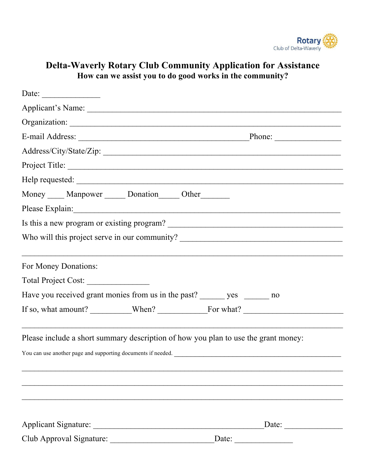

## **Delta-Waverly Rotary Club Community Application for Assistance How can we assist you to do good works in the community?**

| Date: $\frac{1}{\sqrt{1-\frac{1}{2}} \cdot \frac{1}{2}}$                                                                                                                                                                       |  |                                                                                   |
|--------------------------------------------------------------------------------------------------------------------------------------------------------------------------------------------------------------------------------|--|-----------------------------------------------------------------------------------|
|                                                                                                                                                                                                                                |  |                                                                                   |
| Organization: experience of the contract of the contract of the contract of the contract of the contract of the contract of the contract of the contract of the contract of the contract of the contract of the contract of th |  |                                                                                   |
|                                                                                                                                                                                                                                |  |                                                                                   |
|                                                                                                                                                                                                                                |  |                                                                                   |
| Project Title:                                                                                                                                                                                                                 |  |                                                                                   |
|                                                                                                                                                                                                                                |  |                                                                                   |
| Money ____ Manpower _____ Donation _____ Other ______                                                                                                                                                                          |  |                                                                                   |
|                                                                                                                                                                                                                                |  |                                                                                   |
| Is this a new program or existing program?                                                                                                                                                                                     |  |                                                                                   |
| Who will this project serve in our community? ___________________________________                                                                                                                                              |  |                                                                                   |
| For Money Donations:<br>Have you received grant monies from us in the past? _______ yes _______ no                                                                                                                             |  |                                                                                   |
|                                                                                                                                                                                                                                |  |                                                                                   |
| Please include a short summary description of how you plan to use the grant money:<br>You can use another page and supporting documents if needed.                                                                             |  | ,我们也不能在这里的人,我们也不能在这里的人,我们也不能在这里的人,我们也不能在这里的人,我们也不能在这里的人,我们也不能在这里的人,我们也不能在这里的人,我们也 |
|                                                                                                                                                                                                                                |  | Date: $\qquad \qquad$                                                             |